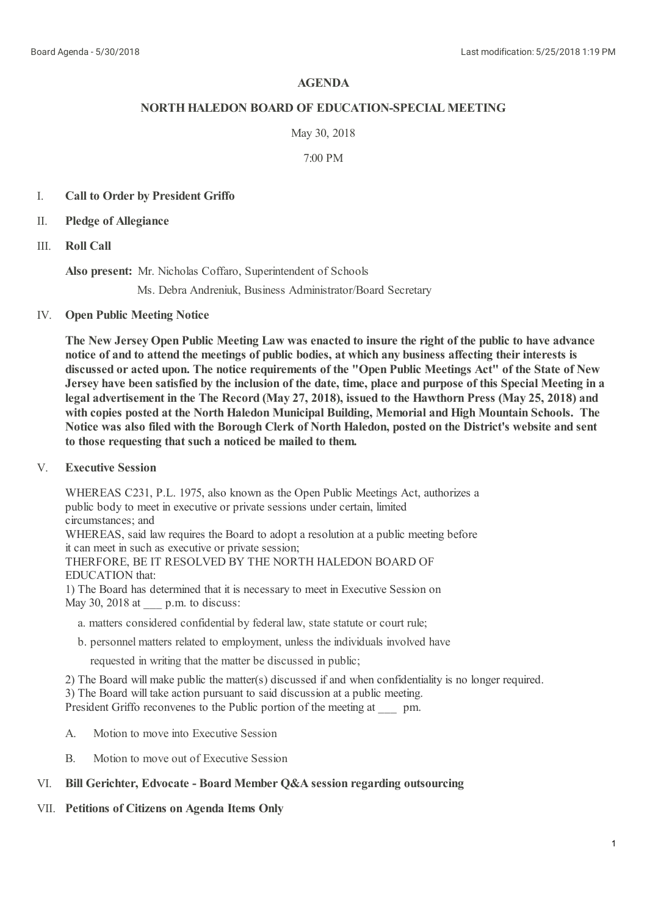# **AGENDA**

## **NORTHHALEDON BOARD OF EDUCATION-SPECIAL MEETING**

### May 30, 2018

### 7:00 PM

## I. **Call to Order by President Griffo**

- II. **Pledge of Allegiance**
- III. **Roll Call**

**Also present:** Mr. Nicholas Coffaro, Superintendent of Schools

Ms. Debra Andreniuk, Business Administrator/Board Secretary

# IV. **Open Public Meeting Notice**

The New Jersey Open Public Meeting Law was enacted to insure the right of the public to have advance **notice of and to attend the meetings of public bodies, at which any business affecting theirinterests is** discussed or acted upon. The notice requirements of the "Open Public Meetings Act" of the State of New Jersey have been satisfied by the inclusion of the date, time, place and purpose of this Special Meeting in a legal advertisement in the The Record (May 27, 2018), issued to the Hawthorn Press (May 25, 2018) and **with copies posted at the North Haledon Municipal Building, Memorial and High Mountain Schools. The** Notice was also filed with the Borough Clerk of North Haledon, posted on the District's website and sent **to those requesting that such a noticed be mailed to them.**

V. **Executive Session**

> WHEREAS C231, P.L. 1975, also known as the Open Public Meetings Act, authorizes a public body to meet in executive or private sessions under certain, limited circumstances; and WHEREAS, said law requires the Board to adopt a resolution at a public meeting before it can meet in such as executive or private session; THERFORE, BE IT RESOLVED BY THE NORTH HALEDON BOARD OF EDUCATION that: 1) The Board has determined that it is necessary to meet in Executive Session on May 30, 2018 at  $p.m.$  to discuss:

- a. matters considered confidential by federal law, state statute or court rule;
- b. personnel matters related to employment, unless the individuals involved have

requested in writing that the matter be discussed in public;

2) The Board will make public the matter(s) discussed if and when confidentiality is no longer required.

3) The Board will take action pursuant to said discussion at a public meeting.

President Griffo reconvenes to the Public portion of the meeting at \_\_\_\_ pm.

- A. Motion to move into Executive Session
- B. Motion to move out of Executive Session

## VI. **Bill Gerichter, Edvocate - Board Member Q&A session regarding outsourcing**

#### VII. **Petitions of Citizens on Agenda Items Only**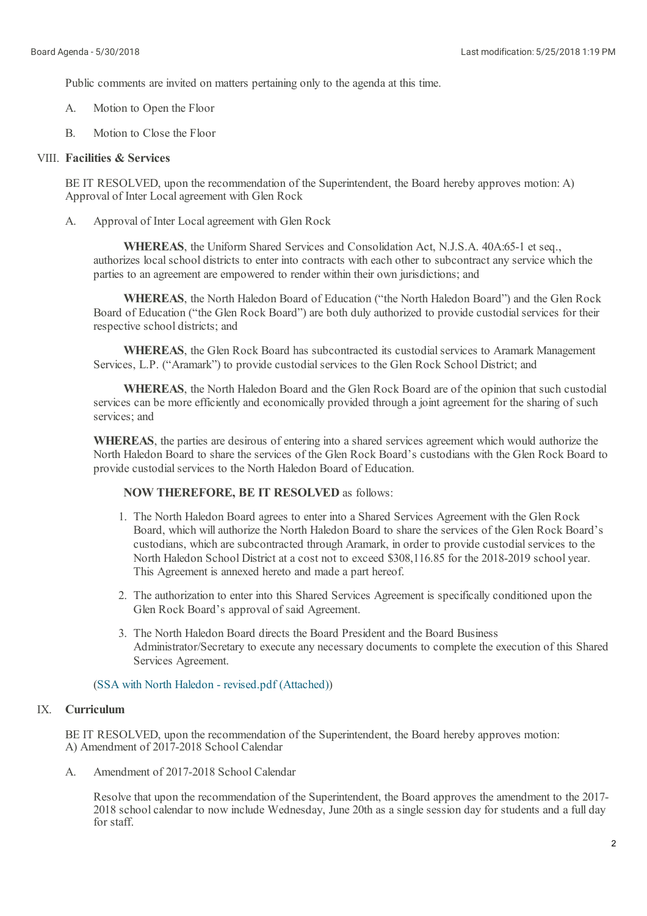Public comments are invited on matters pertaining only to the agenda at this time.

- A. Motion to Open the Floor
- B. Motion to Close the Floor

# VIII. **Facilities & Services**

BE IT RESOLVED, upon the recommendation of the Superintendent, the Board hereby approves motion: A) Approval of Inter Localagreement with Glen Rock

A. Approval of Inter Localagreement with Glen Rock

> **WHEREAS**, the Uniform Shared Services and Consolidation Act, N.J.S.A. 40A:65-1 et seq., authorizes local school districts to enter into contracts with each other to subcontract any service which the parties to an agreement are empowered to render within their own jurisdictions; and

**WHEREAS**, the North Haledon Board of Education ("the North Haledon Board") and the Glen Rock Board of Education ("the Glen Rock Board") are both duly authorized to provide custodial services for their respective school districts; and

**WHEREAS**, the Glen Rock Board has subcontracted its custodial services to Aramark Management Services, L.P. ("Aramark") to provide custodial services to the Glen Rock School District; and

**WHEREAS**, the North Haledon Board and the Glen Rock Board are of the opinion that such custodial services can be more efficiently and economically provided through a joint agreement for the sharing of such services; and

**WHEREAS**, the parties are desirous of entering into a shared services agreement which would authorize the North Haledon Board to share the services of the Glen Rock Board's custodians with the Glen Rock Board to provide custodial services to the North Haledon Board of Education.

## **NOW THEREFORE, BE IT RESOLVED** as follows:

- 1. The North Haledon Board agrees to enter into a Shared Services Agreement with the Glen Rock Board, which willauthorize the North Haledon Board to share the services of the Glen Rock Board's custodians, which are subcontracted through Aramark, in order to provide custodial services to the North Haledon School District at a cost not to exceed \$308,116.85 for the 2018-2019 school year. This Agreement is annexed hereto and made a part hereof.
- 2. The authorization to enter into this Shared Services Agreement is specifically conditioned upon the Glen Rock Board's approval of said Agreement.
- 3. The North Haledon Board directs the Board President and the Board Business Administrator/Secretary to execute any necessary documents to complete the execution of this Shared Services Agreement.

#### (SSA with North Haledon - [revised.pdf](https://www.boardconnectnj.com/Item/DownloadAttachment/539) (Attached))

# IX. **Curriculum**

BE IT RESOLVED, upon the recommendation of the Superintendent, the Board hereby approves motion: A) Amendment of 2017-2018 School Calendar

A. Amendment of 2017-2018 School Calendar

> Resolve that upon the recommendation of the Superintendent, the Board approves the amendment to the 2017- 2018 schoolcalendar to now include Wednesday, June 20th as a single session day for students and a full day for staff.